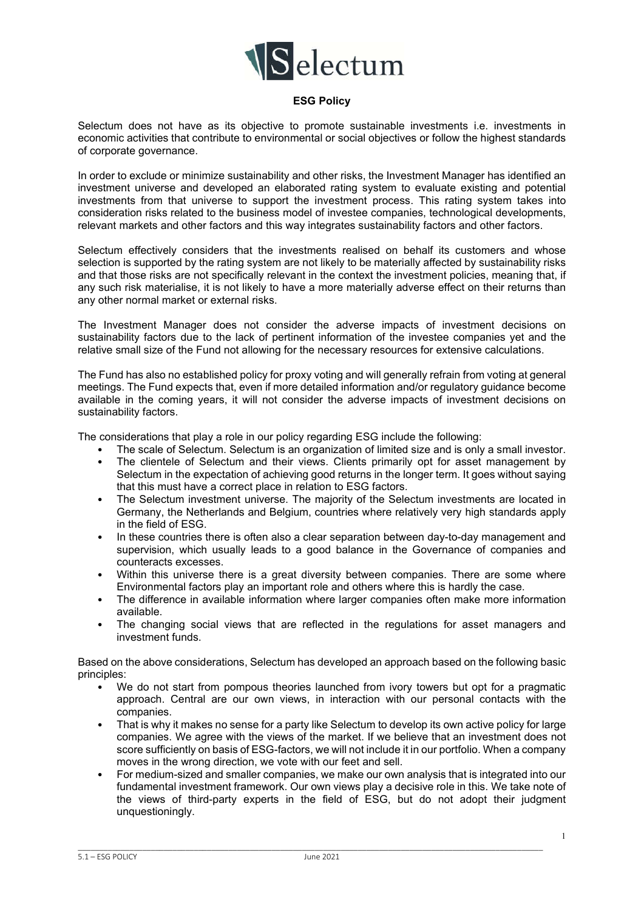

## **ESG Policy**

Selectum does not have as its objective to promote sustainable investments i.e. investments in economic activities that contribute to environmental or social objectives or follow the highest standards of corporate governance.

In order to exclude or minimize sustainability and other risks, the Investment Manager has identified an investment universe and developed an elaborated rating system to evaluate existing and potential investments from that universe to support the investment process. This rating system takes into consideration risks related to the business model of investee companies, technological developments, relevant markets and other factors and this way integrates sustainability factors and other factors.

Selectum effectively considers that the investments realised on behalf its customers and whose selection is supported by the rating system are not likely to be materially affected by sustainability risks and that those risks are not specifically relevant in the context the investment policies, meaning that, if any such risk materialise, it is not likely to have a more materially adverse effect on their returns than any other normal market or external risks.

The Investment Manager does not consider the adverse impacts of investment decisions on sustainability factors due to the lack of pertinent information of the investee companies yet and the relative small size of the Fund not allowing for the necessary resources for extensive calculations.

The Fund has also no established policy for proxy voting and will generally refrain from voting at general meetings. The Fund expects that, even if more detailed information and/or regulatory guidance become available in the coming years, it will not consider the adverse impacts of investment decisions on sustainability factors.

The considerations that play a role in our policy regarding ESG include the following:

- The scale of Selectum. Selectum is an organization of limited size and is only a small investor.
- The clientele of Selectum and their views. Clients primarily opt for asset management by Selectum in the expectation of achieving good returns in the longer term. It goes without saying that this must have a correct place in relation to ESG factors.
- The Selectum investment universe. The majority of the Selectum investments are located in Germany, the Netherlands and Belgium, countries where relatively very high standards apply in the field of ESG.
- In these countries there is often also a clear separation between day-to-day management and supervision, which usually leads to a good balance in the Governance of companies and counteracts excesses.
- Within this universe there is a great diversity between companies. There are some where Environmental factors play an important role and others where this is hardly the case.
- The difference in available information where larger companies often make more information available.
- The changing social views that are reflected in the regulations for asset managers and investment funds.

Based on the above considerations, Selectum has developed an approach based on the following basic principles:

- We do not start from pompous theories launched from ivory towers but opt for a pragmatic approach. Central are our own views, in interaction with our personal contacts with the companies.
- That is why it makes no sense for a party like Selectum to develop its own active policy for large companies. We agree with the views of the market. If we believe that an investment does not score sufficiently on basis of ESG-factors, we will not include it in our portfolio. When a company moves in the wrong direction, we vote with our feet and sell.
- For medium-sized and smaller companies, we make our own analysis that is integrated into our fundamental investment framework. Our own views play a decisive role in this. We take note of the views of third-party experts in the field of ESG, but do not adopt their judgment unquestioningly.

\_\_\_\_\_\_\_\_\_\_\_\_\_\_\_\_\_\_\_\_\_\_\_\_\_\_\_\_\_\_\_\_\_\_\_\_\_\_\_\_\_\_\_\_\_\_\_\_\_\_\_\_\_\_\_\_\_\_\_\_\_\_\_\_\_\_\_\_\_\_\_\_\_\_\_\_\_\_\_\_\_\_\_\_\_\_\_\_\_\_\_\_\_\_\_\_\_\_\_\_\_\_\_\_\_\_\_\_